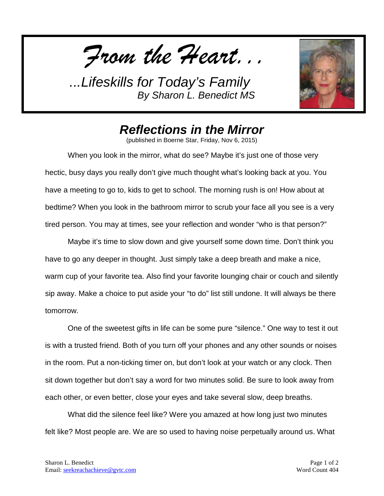*From the Heart...*



## *Reflections in the Mirror*

(published in Boerne Star, Friday, Nov 6, 2015)

When you look in the mirror, what do see? Maybe it's just one of those very hectic, busy days you really don't give much thought what's looking back at you. You have a meeting to go to, kids to get to school. The morning rush is on! How about at bedtime? When you look in the bathroom mirror to scrub your face all you see is a very tired person. You may at times, see your reflection and wonder "who is that person?"

Maybe it's time to slow down and give yourself some down time. Don't think you have to go any deeper in thought. Just simply take a deep breath and make a nice, warm cup of your favorite tea. Also find your favorite lounging chair or couch and silently sip away. Make a choice to put aside your "to do" list still undone. It will always be there tomorrow.

One of the sweetest gifts in life can be some pure "silence." One way to test it out is with a trusted friend. Both of you turn off your phones and any other sounds or noises in the room. Put a non-ticking timer on, but don't look at your watch or any clock. Then sit down together but don't say a word for two minutes solid. Be sure to look away from each other, or even better, close your eyes and take several slow, deep breaths.

What did the silence feel like? Were you amazed at how long just two minutes felt like? Most people are. We are so used to having noise perpetually around us. What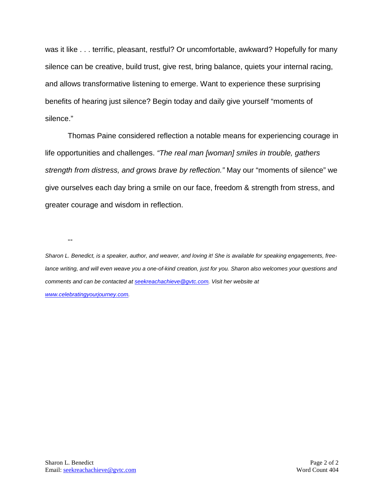was it like . . . terrific, pleasant, restful? Or uncomfortable, awkward? Hopefully for many silence can be creative, build trust, give rest, bring balance, quiets your internal racing, and allows transformative listening to emerge. Want to experience these surprising benefits of hearing just silence? Begin today and daily give yourself "moments of silence."

Thomas Paine considered reflection a notable means for experiencing courage in life opportunities and challenges. *"The real man [woman] smiles in trouble, gathers strength from distress, and grows brave by reflection."* May our "moments of silence" we give ourselves each day bring a smile on our face, freedom & strength from stress, and greater courage and wisdom in reflection.

--

*Sharon L. Benedict, is a speaker, author, and weaver, and loving it! She is available for speaking engagements, freelance writing, and will even weave you a one-of-kind creation, just for you. Sharon also welcomes your questions and comments and can be contacted a[t seekreachachieve@gvtc.com.](mailto:seekreachachieve@gvtc.com) Visit her website at [www.celebratingyourjourney.com.](http://www.celebratingyourjourney.com/)*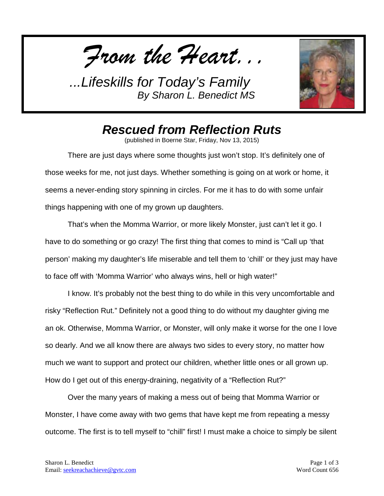*From the Heart...*



## *Rescued from Reflection Ruts*

(published in Boerne Star, Friday, Nov 13, 2015)

There are just days where some thoughts just won't stop. It's definitely one of those weeks for me, not just days. Whether something is going on at work or home, it seems a never-ending story spinning in circles. For me it has to do with some unfair things happening with one of my grown up daughters.

That's when the Momma Warrior, or more likely Monster, just can't let it go. I have to do something or go crazy! The first thing that comes to mind is "Call up 'that person' making my daughter's life miserable and tell them to 'chill' or they just may have to face off with 'Momma Warrior' who always wins, hell or high water!"

I know. It's probably not the best thing to do while in this very uncomfortable and risky "Reflection Rut." Definitely not a good thing to do without my daughter giving me an ok. Otherwise, Momma Warrior, or Monster, will only make it worse for the one I love so dearly. And we all know there are always two sides to every story, no matter how much we want to support and protect our children, whether little ones or all grown up. How do I get out of this energy-draining, negativity of a "Reflection Rut?"

Over the many years of making a mess out of being that Momma Warrior or Monster, I have come away with two gems that have kept me from repeating a messy outcome. The first is to tell myself to "chill" first! I must make a choice to simply be silent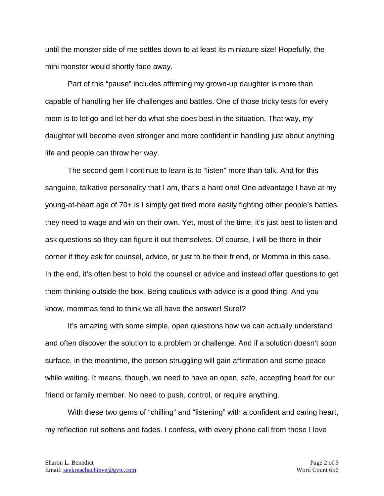until the monster side of me settles down to at least its miniature size! Hopefully, the mini monster would shortly fade away.

Part of this "pause" includes affirming my grown-up daughter is more than capable of handling her life challenges and battles. One of those tricky tests for every mom is to let go and let her do what she does best in the situation. That way, my daughter will become even stronger and more confident in handling just about anything life and people can throw her way.

The second gem I continue to learn is to "listen" more than talk. And for this sanguine, talkative personality that I am, that's a hard one! One advantage I have at my young-at-heart age of 70+ is I simply get tired more easily fighting other people's battles they need to wage and win on their own. Yet, most of the time, it's just best to listen and ask questions so they can figure it out themselves. Of course, I will be there in their corner if they ask for counsel, advice, or just to be their friend, or Momma in this case. In the end, it's often best to hold the counsel or advice and instead offer questions to get them thinking outside the box. Being cautious with advice is a good thing. And you know, mommas tend to think we all have the answer! Sure!?

It's amazing with some simple, open questions how we can actually understand and often discover the solution to a problem or challenge. And if a solution doesn't soon surface, in the meantime, the person struggling will gain affirmation and some peace while waiting. It means, though, we need to have an open, safe, accepting heart for our friend or family member. No need to push, control, or require anything.

With these two gems of "chilling" and "listening" with a confident and caring heart, my reflection rut softens and fades. I confess, with every phone call from those I love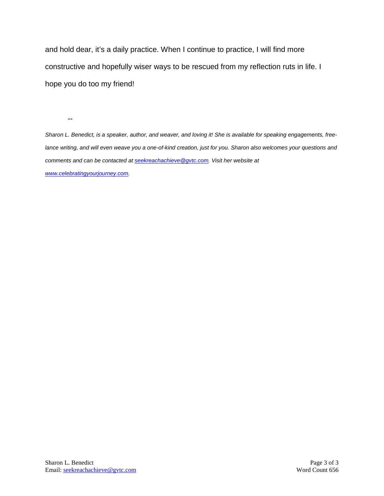and hold dear, it's a daily practice. When I continue to practice, I will find more constructive and hopefully wiser ways to be rescued from my reflection ruts in life. I hope you do too my friend!

--

*Sharon L. Benedict, is a speaker, author, and weaver, and loving it! She is available for speaking engagements, freelance writing, and will even weave you a one-of-kind creation, just for you. Sharon also welcomes your questions and comments and can be contacted a[t seekreachachieve@gvtc.com.](mailto:seekreachachieve@gvtc.com) Visit her website at [www.celebratingyourjourney.com.](http://www.celebratingyourjourney.com/)*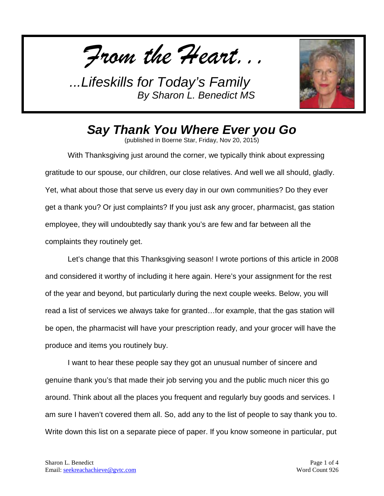*From the Heart...*



## *Say Thank You Where Ever you Go*

(published in Boerne Star, Friday, Nov 20, 2015)

With Thanksgiving just around the corner, we typically think about expressing gratitude to our spouse, our children, our close relatives. And well we all should, gladly. Yet, what about those that serve us every day in our own communities? Do they ever get a thank you? Or just complaints? If you just ask any grocer, pharmacist, gas station employee, they will undoubtedly say thank you's are few and far between all the complaints they routinely get.

Let's change that this Thanksgiving season! I wrote portions of this article in 2008 and considered it worthy of including it here again. Here's your assignment for the rest of the year and beyond, but particularly during the next couple weeks. Below, you will read a list of services we always take for granted…for example, that the gas station will be open, the pharmacist will have your prescription ready, and your grocer will have the produce and items you routinely buy.

I want to hear these people say they got an unusual number of sincere and genuine thank you's that made their job serving you and the public much nicer this go around. Think about all the places you frequent and regularly buy goods and services. I am sure I haven't covered them all. So, add any to the list of people to say thank you to. Write down this list on a separate piece of paper. If you know someone in particular, put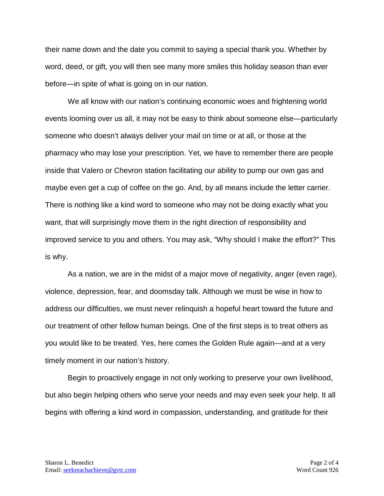their name down and the date you commit to saying a special thank you. Whether by word, deed, or gift, you will then see many more smiles this holiday season than ever before—in spite of what is going on in our nation.

We all know with our nation's continuing economic woes and frightening world events looming over us all, it may not be easy to think about someone else—particularly someone who doesn't always deliver your mail on time or at all, or those at the pharmacy who may lose your prescription. Yet, we have to remember there are people inside that Valero or Chevron station facilitating our ability to pump our own gas and maybe even get a cup of coffee on the go. And, by all means include the letter carrier. There is nothing like a kind word to someone who may not be doing exactly what you want, that will surprisingly move them in the right direction of responsibility and improved service to you and others. You may ask, "Why should I make the effort?" This is why.

As a nation, we are in the midst of a major move of negativity, anger (even rage), violence, depression, fear, and doomsday talk. Although we must be wise in how to address our difficulties, we must never relinquish a hopeful heart toward the future and our treatment of other fellow human beings. One of the first steps is to treat others as you would like to be treated. Yes, here comes the Golden Rule again—and at a very timely moment in our nation's history.

Begin to proactively engage in not only working to preserve your own livelihood, but also begin helping others who serve your needs and may even seek your help. It all begins with offering a kind word in compassion, understanding, and gratitude for their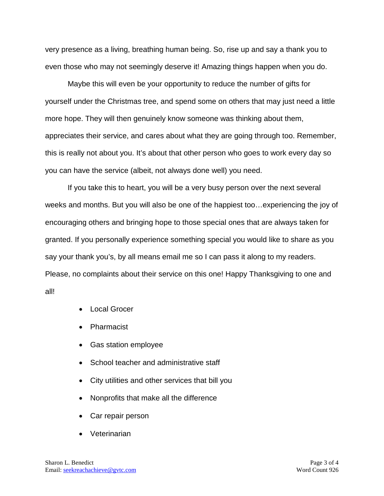very presence as a living, breathing human being. So, rise up and say a thank you to even those who may not seemingly deserve it! Amazing things happen when you do.

Maybe this will even be your opportunity to reduce the number of gifts for yourself under the Christmas tree, and spend some on others that may just need a little more hope. They will then genuinely know someone was thinking about them, appreciates their service, and cares about what they are going through too. Remember, this is really not about you. It's about that other person who goes to work every day so you can have the service (albeit, not always done well) you need.

If you take this to heart, you will be a very busy person over the next several weeks and months. But you will also be one of the happiest too…experiencing the joy of encouraging others and bringing hope to those special ones that are always taken for granted. If you personally experience something special you would like to share as you say your thank you's, by all means email me so I can pass it along to my readers. Please, no complaints about their service on this one! Happy Thanksgiving to one and all!

- Local Grocer
- Pharmacist
- Gas station employee
- School teacher and administrative staff
- City utilities and other services that bill you
- Nonprofits that make all the difference
- Car repair person
- Veterinarian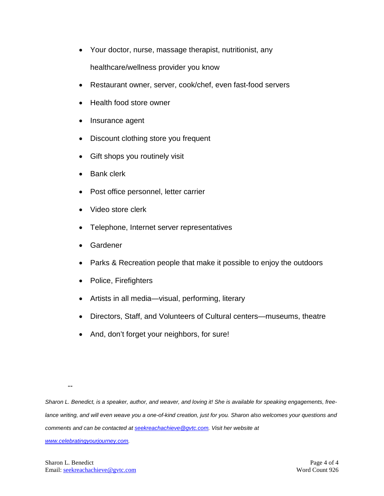- Your doctor, nurse, massage therapist, nutritionist, any healthcare/wellness provider you know
- Restaurant owner, server, cook/chef, even fast-food servers
- Health food store owner
- Insurance agent
- Discount clothing store you frequent
- Gift shops you routinely visit
- Bank clerk
- Post office personnel, letter carrier
- Video store clerk
- Telephone, Internet server representatives
- **Gardener**
- Parks & Recreation people that make it possible to enjoy the outdoors
- Police, Firefighters
- Artists in all media—visual, performing, literary
- Directors, Staff, and Volunteers of Cultural centers—museums, theatre
- And, don't forget your neighbors, for sure!

--

*Sharon L. Benedict, is a speaker, author, and weaver, and loving it! She is available for speaking engagements, freelance writing, and will even weave you a one-of-kind creation, just for you. Sharon also welcomes your questions and comments and can be contacted a[t seekreachachieve@gvtc.com.](mailto:seekreachachieve@gvtc.com) Visit her website at* 

*[www.celebratingyourjourney.com.](http://www.celebratingyourjourney.com/)*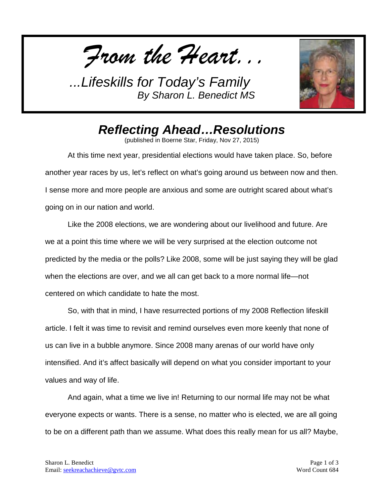*From the Heart...*



## *Reflecting Ahead…Resolutions*

(published in Boerne Star, Friday, Nov 27, 2015)

At this time next year, presidential elections would have taken place. So, before another year races by us, let's reflect on what's going around us between now and then. I sense more and more people are anxious and some are outright scared about what's going on in our nation and world.

Like the 2008 elections, we are wondering about our livelihood and future. Are we at a point this time where we will be very surprised at the election outcome not predicted by the media or the polls? Like 2008, some will be just saying they will be glad when the elections are over, and we all can get back to a more normal life—not centered on which candidate to hate the most.

So, with that in mind, I have resurrected portions of my 2008 Reflection lifeskill article. I felt it was time to revisit and remind ourselves even more keenly that none of us can live in a bubble anymore. Since 2008 many arenas of our world have only intensified. And it's affect basically will depend on what you consider important to your values and way of life.

And again, what a time we live in! Returning to our normal life may not be what everyone expects or wants. There is a sense, no matter who is elected, we are all going to be on a different path than we assume. What does this really mean for us all? Maybe,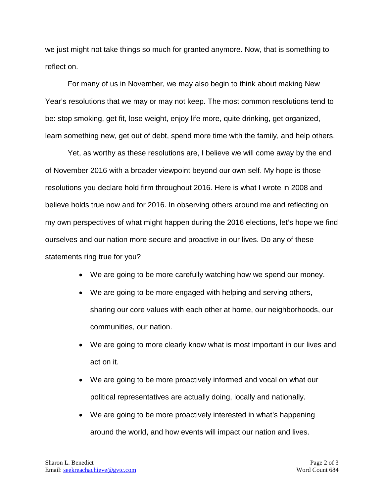we just might not take things so much for granted anymore. Now, that is something to reflect on.

For many of us in November, we may also begin to think about making New Year's resolutions that we may or may not keep. The most common resolutions tend to be: stop smoking, get fit, lose weight, enjoy life more, quite drinking, get organized, learn something new, get out of debt, spend more time with the family, and help others.

Yet, as worthy as these resolutions are, I believe we will come away by the end of November 2016 with a broader viewpoint beyond our own self. My hope is those resolutions you declare hold firm throughout 2016. Here is what I wrote in 2008 and believe holds true now and for 2016. In observing others around me and reflecting on my own perspectives of what might happen during the 2016 elections, let's hope we find ourselves and our nation more secure and proactive in our lives. Do any of these statements ring true for you?

- We are going to be more carefully watching how we spend our money.
- We are going to be more engaged with helping and serving others, sharing our core values with each other at home, our neighborhoods, our communities, our nation.
- We are going to more clearly know what is most important in our lives and act on it.
- We are going to be more proactively informed and vocal on what our political representatives are actually doing, locally and nationally.
- We are going to be more proactively interested in what's happening around the world, and how events will impact our nation and lives.